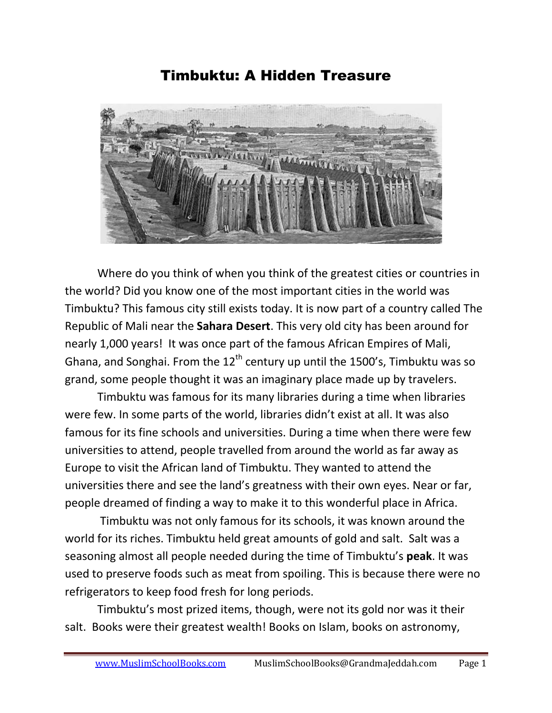Timbuktu: A Hidden Treasure



Where do you think of when you think of the greatest cities or countries in the world? Did you know one of the most important cities in the world was Timbuktu? This famous city still exists today. It is now part of a country called The Republic of Mali near the **Sahara Desert**. This very old city has been around for nearly 1,000 years! It was once part of the famous African Empires of Mali, Ghana, and Songhai. From the  $12<sup>th</sup>$  century up until the 1500's, Timbuktu was so grand, some people thought it was an imaginary place made up by travelers.

Timbuktu was famous for its many libraries during a time when libraries were few. In some parts of the world, libraries didn't exist at all. It was also famous for its fine schools and universities. During a time when there were few universities to attend, people travelled from around the world as far away as Europe to visit the African land of Timbuktu. They wanted to attend the universities there and see the land's greatness with their own eyes. Near or far, people dreamed of finding a way to make it to this wonderful place in Africa.

Timbuktu was not only famous for its schools, it was known around the world for its riches. Timbuktu held great amounts of gold and salt. Salt was a seasoning almost all people needed during the time of Timbuktu's **peak**. It was used to preserve foods such as meat from spoiling. This is because there were no refrigerators to keep food fresh for long periods.

Timbuktu's most prized items, though, were not its gold nor was it their salt. Books were their greatest wealth! Books on Islam, books on astronomy,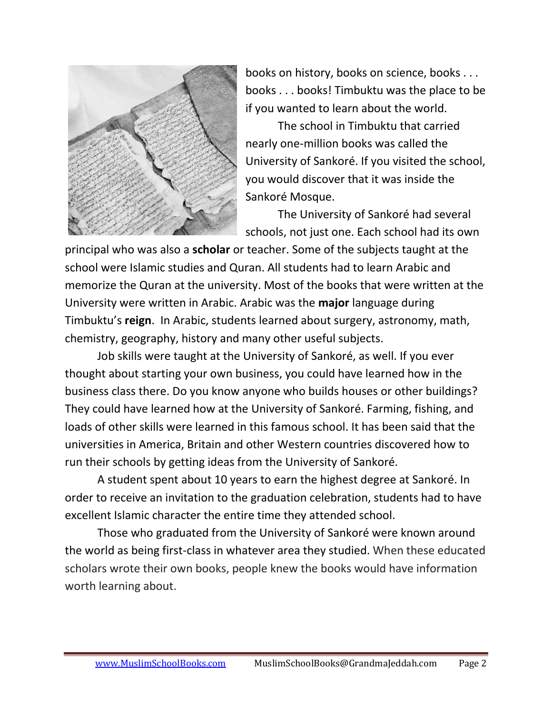

books on history, books on science, books . . . books . . . books! Timbuktu was the place to be if you wanted to learn about the world.

The school in Timbuktu that carried nearly one-million books was called the University of Sankoré. If you visited the school, you would discover that it was inside the Sankoré Mosque.

The University of Sankoré had several schools, not just one. Each school had its own

principal who was also a **scholar** or teacher. Some of the subjects taught at the school were Islamic studies and Quran. All students had to learn Arabic and memorize the Quran at the university. Most of the books that were written at the University were written in Arabic. Arabic was the **major** language during Timbuktu's **reign**. In Arabic, students learned about surgery, astronomy, math, chemistry, geography, history and many other useful subjects.

Job skills were taught at the University of Sankoré, as well. If you ever thought about starting your own business, you could have learned how in the business class there. Do you know anyone who builds houses or other buildings? They could have learned how at the University of Sankoré. Farming, fishing, and loads of other skills were learned in this famous school. It has been said that the universities in America, Britain and other Western countries discovered how to run their schools by getting ideas from the University of Sankoré.

A student spent about 10 years to earn the highest degree at Sankoré. In order to receive an invitation to the graduation celebration, students had to have excellent Islamic character the entire time they attended school.

Those who graduated from the University of Sankoré were known around the world as being first-class in whatever area they studied. When these educated scholars wrote their own books, people knew the books would have information worth learning about.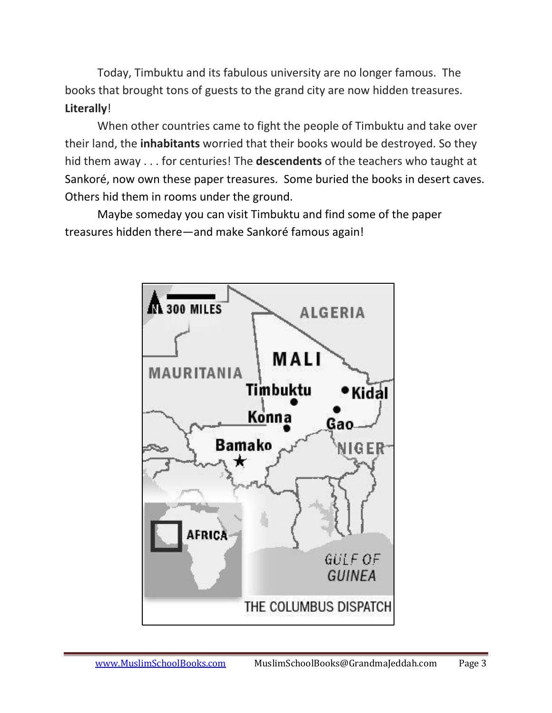Today, Timbuktu and its fabulous university are no longer famous. The books that brought tons of guests to the grand city are now hidden treasures. **Literally**!

When other countries came to fight the people of Timbuktu and take over their land, the **inhabitants** worried that their books would be destroyed. So they hid them away . . . for centuries! The **descendents** of the teachers who taught at Sankoré, now own these paper treasures. Some buried the books in desert caves. Others hid them in rooms under the ground.

Maybe someday you can visit Timbuktu and find some of the paper treasures hidden there—and make Sankoré famous again!

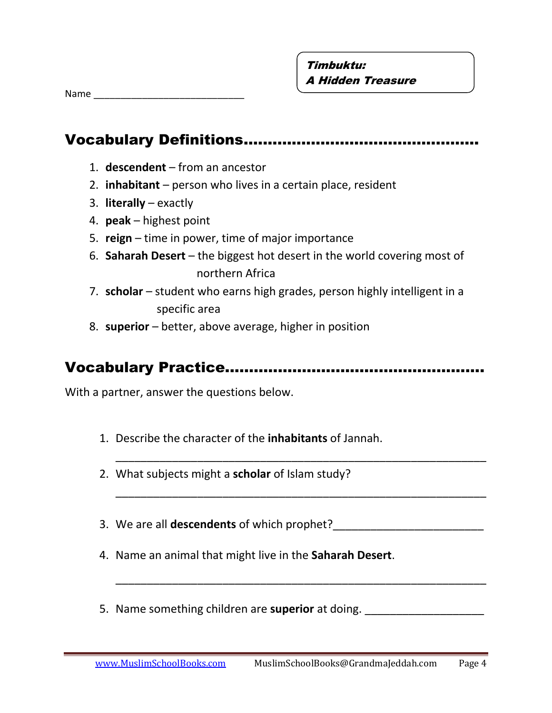Name **we are the set of the set of the set of the set of the set of the set of the set of the set of the set of the set of the set of the set of the set of the set of the set of the set of the set of the set of the set of** 

## Vocabulary Definitions.…………………………………………

- 1. **descendent**  from an ancestor
- 2. **inhabitant**  person who lives in a certain place, resident
- 3. **literally**  exactly
- 4. **peak**  highest point
- 5. **reign**  time in power, time of major importance
- 6. **Saharah Desert**  the biggest hot desert in the world covering most of northern Africa
- 7. **scholar**  student who earns high grades, person highly intelligent in a specific area
- 8. **superior** better, above average, higher in position

## Vocabulary Practice..…………………………………………….

\_\_\_\_\_\_\_\_\_\_\_\_\_\_\_\_\_\_\_\_\_\_\_\_\_\_\_\_\_\_\_\_\_\_\_\_\_\_\_\_\_\_\_\_\_\_\_\_\_\_\_\_\_\_\_\_\_\_\_

\_\_\_\_\_\_\_\_\_\_\_\_\_\_\_\_\_\_\_\_\_\_\_\_\_\_\_\_\_\_\_\_\_\_\_\_\_\_\_\_\_\_\_\_\_\_\_\_\_\_\_\_\_\_\_\_\_\_\_

\_\_\_\_\_\_\_\_\_\_\_\_\_\_\_\_\_\_\_\_\_\_\_\_\_\_\_\_\_\_\_\_\_\_\_\_\_\_\_\_\_\_\_\_\_\_\_\_\_\_\_\_\_\_\_\_\_\_\_

With a partner, answer the questions below.

- 1. Describe the character of the **inhabitants** of Jannah.
- 2. What subjects might a **scholar** of Islam study?
- 3. We are all **descendents** of which prophet?\_\_\_\_\_\_\_\_\_\_\_\_\_\_\_\_\_\_\_\_\_\_\_\_
- 4. Name an animal that might live in the **Saharah Desert**.
- 5. Name something children are **superior** at doing.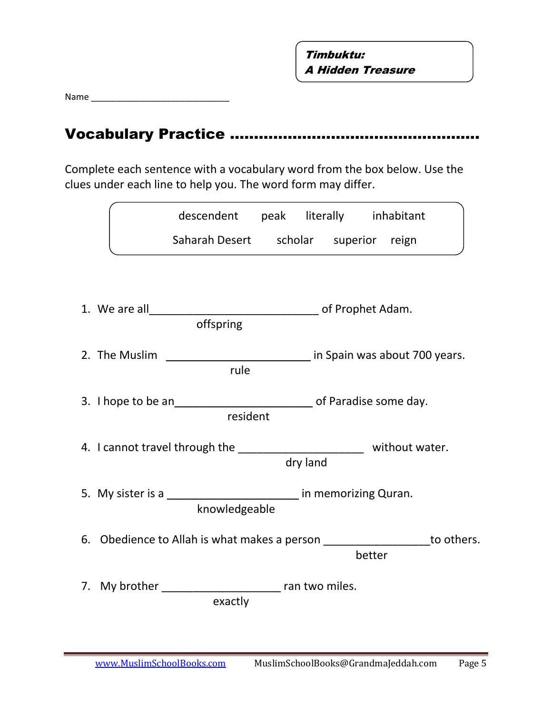Name \_\_\_\_\_\_\_\_\_\_\_\_\_\_\_\_\_\_\_\_\_\_\_\_\_\_\_\_

# Vocabulary Practice …………………………………………….

Complete each sentence with a vocabulary word from the box below. Use the clues under each line to help you. The word form may differ.

|                                                                             | descendent peak literally inhabitant  |          |        |  |
|-----------------------------------------------------------------------------|---------------------------------------|----------|--------|--|
|                                                                             | Saharah Desert scholar superior reign |          |        |  |
|                                                                             |                                       |          |        |  |
|                                                                             | offspring                             |          |        |  |
| 2. The Muslim                                                               | in Spain was about 700 years.<br>rule |          |        |  |
|                                                                             | resident                              |          |        |  |
| 4. I cannot travel through the ____________________________ without water.  |                                       | dry land |        |  |
| 5. My sister is a _____________________________ in memorizing Quran.        | knowledgeable                         |          |        |  |
| 6. Obedience to Allah is what makes a person ___________________ to others. |                                       |          | better |  |
| 7. My brother ___________________________ ran two miles.                    | exactly                               |          |        |  |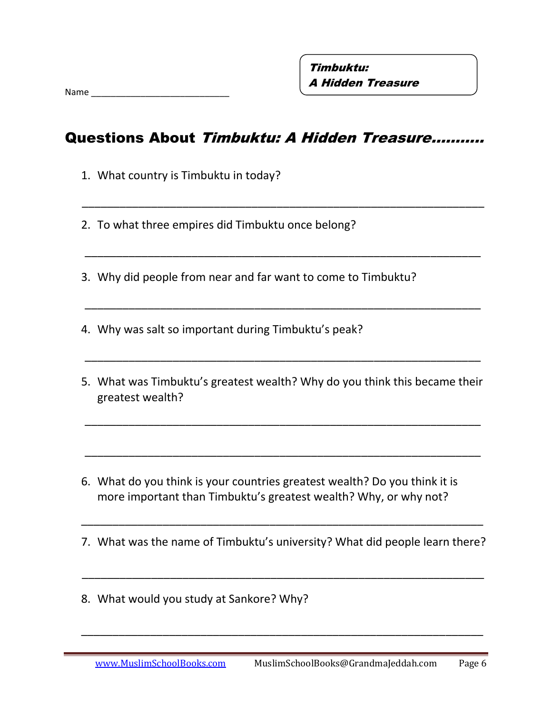#### Questions About Timbuktu: A Hidden Treasure………..

\_\_\_\_\_\_\_\_\_\_\_\_\_\_\_\_\_\_\_\_\_\_\_\_\_\_\_\_\_\_\_\_\_\_\_\_\_\_\_\_\_\_\_\_\_\_\_\_\_\_\_\_\_\_\_\_\_\_\_\_\_\_\_\_

\_\_\_\_\_\_\_\_\_\_\_\_\_\_\_\_\_\_\_\_\_\_\_\_\_\_\_\_\_\_\_\_\_\_\_\_\_\_\_\_\_\_\_\_\_\_\_\_\_\_\_\_\_\_\_\_\_\_\_\_\_\_\_

\_\_\_\_\_\_\_\_\_\_\_\_\_\_\_\_\_\_\_\_\_\_\_\_\_\_\_\_\_\_\_\_\_\_\_\_\_\_\_\_\_\_\_\_\_\_\_\_\_\_\_\_\_\_\_\_\_\_\_\_\_\_\_

\_\_\_\_\_\_\_\_\_\_\_\_\_\_\_\_\_\_\_\_\_\_\_\_\_\_\_\_\_\_\_\_\_\_\_\_\_\_\_\_\_\_\_\_\_\_\_\_\_\_\_\_\_\_\_\_\_\_\_\_\_\_\_

\_\_\_\_\_\_\_\_\_\_\_\_\_\_\_\_\_\_\_\_\_\_\_\_\_\_\_\_\_\_\_\_\_\_\_\_\_\_\_\_\_\_\_\_\_\_\_\_\_\_\_\_\_\_\_\_\_\_\_\_\_\_\_

\_\_\_\_\_\_\_\_\_\_\_\_\_\_\_\_\_\_\_\_\_\_\_\_\_\_\_\_\_\_\_\_\_\_\_\_\_\_\_\_\_\_\_\_\_\_\_\_\_\_\_\_\_\_\_\_\_\_\_\_\_\_\_

- 1. What country is Timbuktu in today?
- 2. To what three empires did Timbuktu once belong?
- 3. Why did people from near and far want to come to Timbuktu?
- 4. Why was salt so important during Timbuktu's peak?
- 5. What was Timbuktu's greatest wealth? Why do you think this became their greatest wealth?
- 6. What do you think is your countries greatest wealth? Do you think it is more important than Timbuktu's greatest wealth? Why, or why not?
- 7. What was the name of Timbuktu's university? What did people learn there?

\_\_\_\_\_\_\_\_\_\_\_\_\_\_\_\_\_\_\_\_\_\_\_\_\_\_\_\_\_\_\_\_\_\_\_\_\_\_\_\_\_\_\_\_\_\_\_\_\_\_\_\_\_\_\_\_\_\_\_\_\_\_\_\_

\_\_\_\_\_\_\_\_\_\_\_\_\_\_\_\_\_\_\_\_\_\_\_\_\_\_\_\_\_\_\_\_\_\_\_\_\_\_\_\_\_\_\_\_\_\_\_\_\_\_\_\_\_\_\_\_\_\_\_\_\_\_\_\_

8. What would you study at Sankore? Why?

\_\_\_\_\_\_\_\_\_\_\_\_\_\_\_\_\_\_\_\_\_\_\_\_\_\_\_\_\_\_\_\_\_\_\_\_\_\_\_\_\_\_\_\_\_\_\_\_\_\_\_\_\_\_\_\_\_\_\_\_\_\_\_\_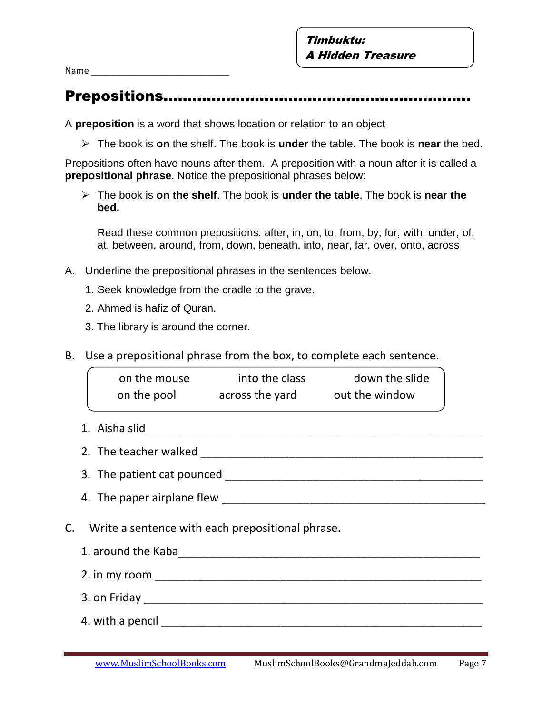Name

# Prepositions…………….…………………………………………

A **preposition** is a word that shows location or relation to an object

The book is **on** the shelf. The book is **under** the table. The book is **near** the bed.

Prepositions often have nouns after them. A preposition with a noun after it is called a **prepositional phrase**. Notice the prepositional phrases below:

 The book is **on the shelf**. The book is **under the table**. The book is **near the bed.**

Read these common prepositions: after, in, on, to, from, by, for, with, under, of, at, between, around, from, down, beneath, into, near, far, over, onto, across

- A. Underline the prepositional phrases in the sentences below.
	- 1. Seek knowledge from the cradle to the grave.
	- 2. Ahmed is hafiz of Quran.
	- 3. The library is around the corner.
- B. Use a prepositional phrase from the box, to complete each sentence.

|  | on the mouse into the class down the slide<br>on the pool across the yard out the window |  |
|--|------------------------------------------------------------------------------------------|--|
|  |                                                                                          |  |
|  |                                                                                          |  |
|  |                                                                                          |  |
|  |                                                                                          |  |
|  | C. Write a sentence with each prepositional phrase.                                      |  |
|  |                                                                                          |  |
|  |                                                                                          |  |
|  |                                                                                          |  |
|  |                                                                                          |  |
|  |                                                                                          |  |